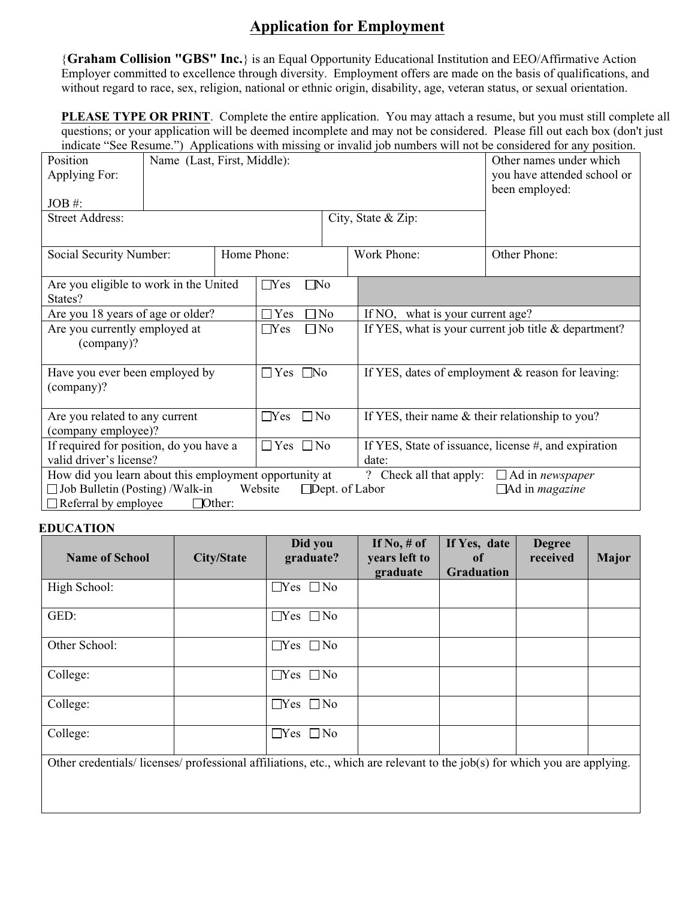## **Application for Employment**

{**Graham Collision "GBS" Inc.**} is an Equal Opportunity Educational Institution and EEO/Affirmative Action Employer committed to excellence through diversity. Employment offers are made on the basis of qualifications, and without regard to race, sex, religion, national or ethnic origin, disability, age, veteran status, or sexual orientation.

**PLEASE TYPE OR PRINT**. Complete the entire application. You may attach a resume, but you must still complete all questions; or your application will be deemed incomplete and may not be considered. Please fill out each box (don't just indicate "See Resume.") Applications with missing or invalid job numbers will not be considered for any position.

| marcale Bee Kesume. The procedure with missing of invantaged numbers will not be considered for any position.<br>Name (Last, First, Middle):<br><b>Position</b><br>Applying For:<br>$JOB \#$ :<br><b>Street Address:</b><br>City, State & Zip: |               |                         |                               |                                                                     | Other names under which<br>you have attended school or<br>been employed: |                                                        |  |
|------------------------------------------------------------------------------------------------------------------------------------------------------------------------------------------------------------------------------------------------|---------------|-------------------------|-------------------------------|---------------------------------------------------------------------|--------------------------------------------------------------------------|--------------------------------------------------------|--|
| Social Security Number:                                                                                                                                                                                                                        |               |                         | Home Phone:                   |                                                                     | Work Phone:                                                              | Other Phone:                                           |  |
| Are you eligible to work in the United<br>States?                                                                                                                                                                                              |               |                         | $\Box$ Yes                    | $\square$ No                                                        |                                                                          |                                                        |  |
| Are you 18 years of age or older?                                                                                                                                                                                                              |               |                         | $\square$ No<br>$\exists$ Yes |                                                                     | If NO, what is your current age?                                         |                                                        |  |
| Are you currently employed at<br>(company)?                                                                                                                                                                                                    |               |                         | $\Box$ Yes                    | If YES, what is your current job title $&$ department?<br>$\Box$ No |                                                                          |                                                        |  |
| Have you ever been employed by<br>(company)?                                                                                                                                                                                                   |               | $\Box$ Yes $\Box$ No    |                               | If YES, dates of employment & reason for leaving:                   |                                                                          |                                                        |  |
| Are you related to any current<br>(company employee)?                                                                                                                                                                                          |               | $\Box$ No<br>$\Box$ Yes |                               | If YES, their name & their relationship to you?                     |                                                                          |                                                        |  |
| If required for position, do you have a<br>valid driver's license?                                                                                                                                                                             |               |                         | $\Box$ Yes $\Box$ No<br>date: |                                                                     |                                                                          | If YES, State of issuance, license #, and expiration   |  |
| How did you learn about this employment opportunity at<br>$\Box$ Job Bulletin (Posting) /Walk-in<br>$\Box$ Referral by employee                                                                                                                | $\Box$ Other: |                         | Website                       |                                                                     | ? Check all that apply:<br>$\Box$ Dept. of Labor                         | $\Box$ Ad in newspaper<br>$\Box$ Ad in <i>magazine</i> |  |

## **EDUCATION**

| <b>Name of School</b>                                                                                                    | <b>City/State</b> | Did you<br>graduate? | If $No, \#$ of<br>years left to<br>graduate | If Yes, date<br>0f<br><b>Graduation</b> | <b>Degree</b><br>received | <b>Major</b> |
|--------------------------------------------------------------------------------------------------------------------------|-------------------|----------------------|---------------------------------------------|-----------------------------------------|---------------------------|--------------|
| High School:                                                                                                             |                   | $\Box$ Yes $\Box$ No |                                             |                                         |                           |              |
| GED:                                                                                                                     |                   | $\Box$ Yes $\Box$ No |                                             |                                         |                           |              |
| Other School:                                                                                                            |                   | $\Box$ Yes $\Box$ No |                                             |                                         |                           |              |
| College:                                                                                                                 |                   | $\Box$ Yes $\Box$ No |                                             |                                         |                           |              |
| College:                                                                                                                 |                   | $\Box$ Yes $\Box$ No |                                             |                                         |                           |              |
| College:                                                                                                                 |                   | $\Box$ Yes $\Box$ No |                                             |                                         |                           |              |
| Other credentials/licenses/professional affiliations, etc., which are relevant to the job(s) for which you are applying. |                   |                      |                                             |                                         |                           |              |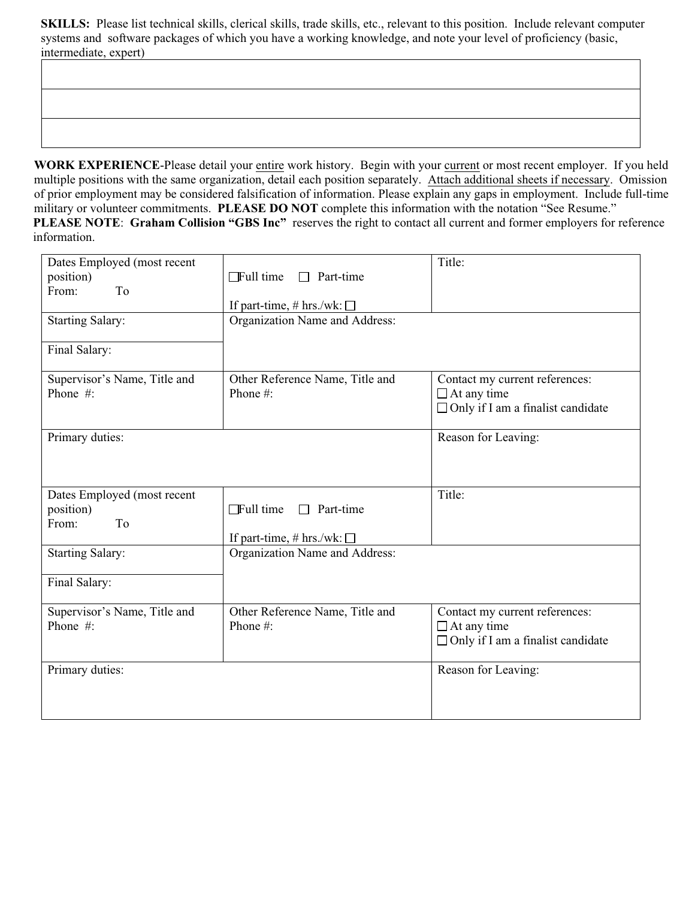**SKILLS:** Please list technical skills, clerical skills, trade skills, etc., relevant to this position. Include relevant computer systems and software packages of which you have a working knowledge, and note your level of proficiency (basic, intermediate, expert)

**WORK EXPERIENCE**-Please detail your entire work history. Begin with your current or most recent employer. If you held multiple positions with the same organization, detail each position separately. Attach additional sheets if necessary. Omission of prior employment may be considered falsification of information. Please explain any gaps in employment. Include full-time military or volunteer commitments. **PLEASE DO NOT** complete this information with the notation "See Resume." **PLEASE NOTE**: **Graham Collision "GBS Inc"** reserves the right to contact all current and former employers for reference information.

| Dates Employed (most recent<br>position)<br>From:<br>T <sub>o</sub><br><b>Starting Salary:</b> | $\Box$ Full time<br>Part-time<br>$\Box$<br>If part-time, # hrs./wk: $\square$<br>Organization Name and Address: | Title:                                                                                           |
|------------------------------------------------------------------------------------------------|-----------------------------------------------------------------------------------------------------------------|--------------------------------------------------------------------------------------------------|
| Final Salary:                                                                                  |                                                                                                                 |                                                                                                  |
| Supervisor's Name, Title and<br>Phone #:                                                       | Other Reference Name, Title and<br>Phone #:                                                                     | Contact my current references:<br>$\Box$ At any time<br>$\Box$ Only if I am a finalist candidate |
| Primary duties:                                                                                |                                                                                                                 | Reason for Leaving:                                                                              |
| Dates Employed (most recent<br>position)<br>From:<br>To                                        | $\Box$ Full time<br>Part-time<br>П<br>If part-time, # hrs./wk: $\square$                                        | Title:                                                                                           |
| <b>Starting Salary:</b><br>Final Salary:                                                       | Organization Name and Address:                                                                                  |                                                                                                  |
| Supervisor's Name, Title and<br>Phone #:                                                       | Other Reference Name, Title and<br>Phone #:                                                                     | Contact my current references:<br>$\Box$ At any time<br>$\Box$ Only if I am a finalist candidate |
| Primary duties:                                                                                |                                                                                                                 | Reason for Leaving:                                                                              |